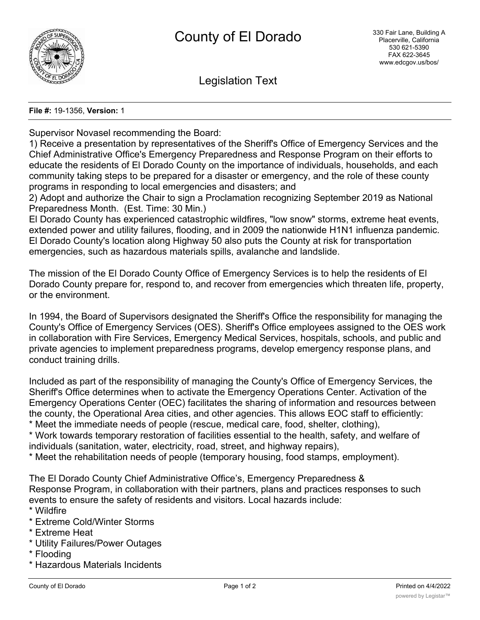

Legislation Text

## **File #:** 19-1356, **Version:** 1

Supervisor Novasel recommending the Board:

1) Receive a presentation by representatives of the Sheriff's Office of Emergency Services and the Chief Administrative Office's Emergency Preparedness and Response Program on their efforts to educate the residents of El Dorado County on the importance of individuals, households, and each community taking steps to be prepared for a disaster or emergency, and the role of these county programs in responding to local emergencies and disasters; and

2) Adopt and authorize the Chair to sign a Proclamation recognizing September 2019 as National Preparedness Month. (Est. Time: 30 Min.)

El Dorado County has experienced catastrophic wildfires, "low snow" storms, extreme heat events, extended power and utility failures, flooding, and in 2009 the nationwide H1N1 influenza pandemic. El Dorado County's location along Highway 50 also puts the County at risk for transportation emergencies, such as hazardous materials spills, avalanche and landslide.

The mission of the El Dorado County Office of Emergency Services is to help the residents of El Dorado County prepare for, respond to, and recover from emergencies which threaten life, property, or the environment.

In 1994, the Board of Supervisors designated the Sheriff's Office the responsibility for managing the County's Office of Emergency Services (OES). Sheriff's Office employees assigned to the OES work in collaboration with Fire Services, Emergency Medical Services, hospitals, schools, and public and private agencies to implement preparedness programs, develop emergency response plans, and conduct training drills.

Included as part of the responsibility of managing the County's Office of Emergency Services, the Sheriff's Office determines when to activate the Emergency Operations Center. Activation of the Emergency Operations Center (OEC) facilitates the sharing of information and resources between the county, the Operational Area cities, and other agencies. This allows EOC staff to efficiently: \* Meet the immediate needs of people (rescue, medical care, food, shelter, clothing),

\* Work towards temporary restoration of facilities essential to the health, safety, and welfare of individuals (sanitation, water, electricity, road, street, and highway repairs),

\* Meet the rehabilitation needs of people (temporary housing, food stamps, employment).

The El Dorado County Chief Administrative Office's, Emergency Preparedness & Response Program, in collaboration with their partners, plans and practices responses to such events to ensure the safety of residents and visitors. Local hazards include: \* Wildfire

- \* Extreme Cold/Winter Storms
- \* Extreme Heat
- \* Utility Failures/Power Outages
- \* Flooding
- \* Hazardous Materials Incidents